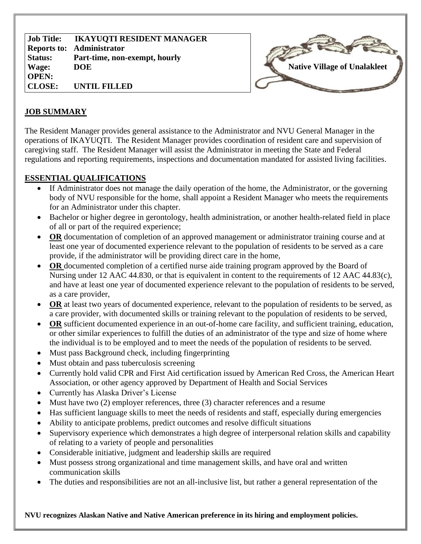**Job Title: Reports to: Administrator Status: Wage: OPEN: CLOSE: IKAYUQTI RESIDENT MANAGER Part-time, non-exempt, hourly DOE UNTIL FILLED**



### **JOB SUMMARY**

The Resident Manager provides general assistance to the Administrator and NVU General Manager in the operations of IKAYUQTI. The Resident Manager provides coordination of resident care and supervision of caregiving staff. The Resident Manager will assist the Administrator in meeting the State and Federal regulations and reporting requirements, inspections and documentation mandated for assisted living facilities.

## **ESSENTIAL QUALIFICATIONS**

- If Administrator does not manage the daily operation of the home, the Administrator, or the governing body of NVU responsible for the home, shall appoint a Resident Manager who meets the requirements for an Administrator under this chapter.
- Bachelor or higher degree in gerontology, health administration, or another health-related field in place of all or part of the required experience;
- **OR** documentation of completion of an approved management or administrator training course and at least one year of documented experience relevant to the population of residents to be served as a care provide, if the administrator will be providing direct care in the home,
- **OR** documented completion of a certified nurse aide training program approved by the Board of Nursing under 12 AAC 44.830, or that is equivalent in content to the requirements of 12 AAC 44.83(c), and have at least one year of documented experience relevant to the population of residents to be served, as a care provider,
- **OR** at least two years of documented experience, relevant to the population of residents to be served, as a care provider, with documented skills or training relevant to the population of residents to be served,
- **OR** sufficient documented experience in an out-of-home care facility, and sufficient training, education, or other similar experiences to fulfill the duties of an administrator of the type and size of home where the individual is to be employed and to meet the needs of the population of residents to be served.
- Must pass Background check, including fingerprinting
- Must obtain and pass tuberculosis screening
- Currently hold valid CPR and First Aid certification issued by American Red Cross, the American Heart Association, or other agency approved by Department of Health and Social Services
- Currently has Alaska Driver's License
- Must have two (2) employer references, three (3) character references and a resume
- Has sufficient language skills to meet the needs of residents and staff, especially during emergencies
- Ability to anticipate problems, predict outcomes and resolve difficult situations
- Supervisory experience which demonstrates a high degree of interpersonal relation skills and capability of relating to a variety of people and personalities
- Considerable initiative, judgment and leadership skills are required
- Must possess strong organizational and time management skills, and have oral and written communication skills
- The duties and responsibilities are not an all-inclusive list, but rather a general representation of the

**NVU recognizes Alaskan Native and Native American preference in its hiring and employment policies.**